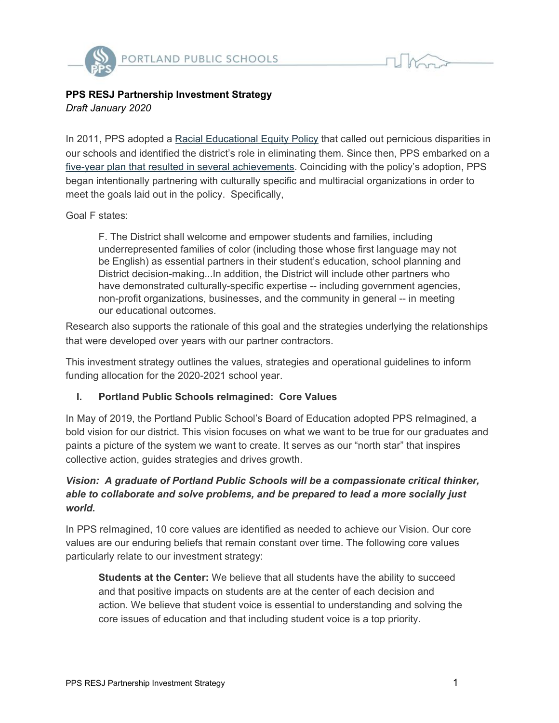

#### **PPS RESJ Partnership Investment Strategy** *Draft January 2020*

In 2011, PPS adopted a Racial [Educational](https://docs.google.com/viewerng/viewer?url=https://www.pps.net/cms/lib/OR01913224/Centricity/Domain/4814/2.10.010-P.pdf) Equity Policy that called out pernicious disparities in our schools and identified the district's role in eliminating them. Since then, PPS embarked on a five-year plan that resulted in several [achievements](https://www.pps.net/cms/lib/OR01913224/Centricity/Domain/51/3.31.14%20Five%20Year%20Equity%20Plan%20Narrative-2.pdf). Coinciding with the policy's adoption, PPS began intentionally partnering with culturally specific and multiracial organizations in order to meet the goals laid out in the policy. Specifically,

Goal F states:

F. The District shall welcome and empower students and families, including underrepresented families of color (including those whose first language may not be English) as essential partners in their student's education, school planning and District decision-making...In addition, the District will include other partners who have demonstrated culturally-specific expertise -- including government agencies, non-profit organizations, businesses, and the community in general -- in meeting our educational outcomes.

Research also supports the rationale of this goal and the strategies underlying the relationships that were developed over years with our partner contractors.

This investment strategy outlines the values, strategies and operational guidelines to inform funding allocation for the 2020-2021 school year.

## **I. Portland Public Schools reImagined: Core Values**

In May of 2019, the Portland Public School's Board of Education adopted PPS reImagined, a bold vision for our district. This vision focuses on what we want to be true for our graduates and paints a picture of the system we want to create. It serves as our "north star" that inspires collective action, guides strategies and drives growth.

# *Vision: A graduate of Portland Public Schools will be a compassionate critical thinker, able to collaborate and solve problems, and be prepared to lead a more socially just world.*

In PPS reImagined, 10 core values are identified as needed to achieve our Vision. Our core values are our enduring beliefs that remain constant over time. The following core values particularly relate to our investment strategy:

**Students at the Center:** We believe that all students have the ability to succeed and that positive impacts on students are at the center of each decision and action. We believe that student voice is essential to understanding and solving the core issues of education and that including student voice is a top priority.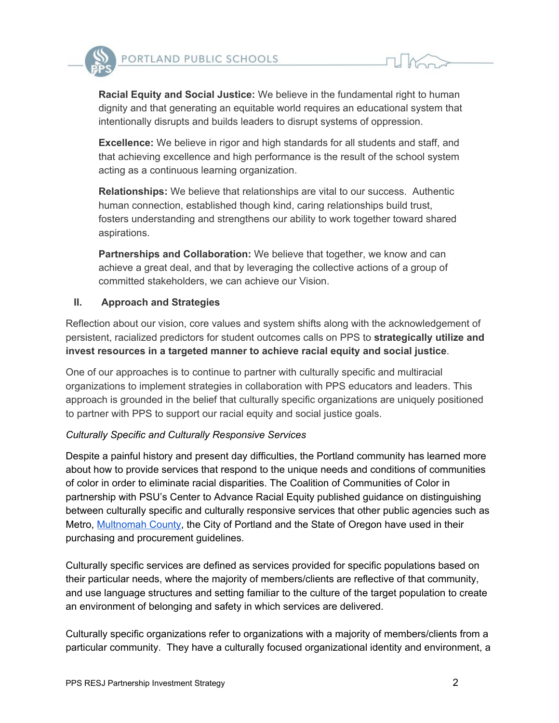

**Racial Equity and Social Justice:** We believe in the fundamental right to human dignity and that generating an equitable world requires an educational system that intentionally disrupts and builds leaders to disrupt systems of oppression.

**Excellence:** We believe in rigor and high standards for all students and staff, and that achieving excellence and high performance is the result of the school system acting as a continuous learning organization.

**Relationships:** We believe that relationships are vital to our success. Authentic human connection, established though kind, caring relationships build trust, fosters understanding and strengthens our ability to work together toward shared aspirations.

**Partnerships and Collaboration:** We believe that together, we know and can achieve a great deal, and that by leveraging the collective actions of a group of committed stakeholders, we can achieve our Vision.

## **II. Approach and Strategies**

Reflection about our vision, core values and system shifts along with the acknowledgement of persistent, racialized predictors for student outcomes calls on PPS to **strategically utilize and invest resources in a targeted manner to achieve racial equity and social justice**.

One of our approaches is to continue to partner with culturally specific and multiracial organizations to implement strategies in collaboration with PPS educators and leaders. This approach is grounded in the belief that culturally specific organizations are uniquely positioned to partner with PPS to support our racial equity and social justice goals.

#### *Culturally Specific and Culturally Responsive Services*

Despite a painful history and present day difficulties, the Portland community has learned more about how to provide services that respond to the unique needs and conditions of communities of color in order to eliminate racial disparities. The Coalition of Communities of Color in partnership with PSU's Center to Advance Racial Equity published guidance on distinguishing between culturally specific and culturally responsive services that other public agencies such as Metro, [Multnomah](https://multco.us/file/48046/download) County, the City of Portland and the State of Oregon have used in their purchasing and procurement guidelines.

Culturally specific services are defined as services provided for specific populations based on their particular needs, where the majority of members/clients are reflective of that community, and use language structures and setting familiar to the culture of the target population to create an environment of belonging and safety in which services are delivered.

Culturally specific organizations refer to organizations with a majority of members/clients from a particular community. They have a culturally focused organizational identity and environment, a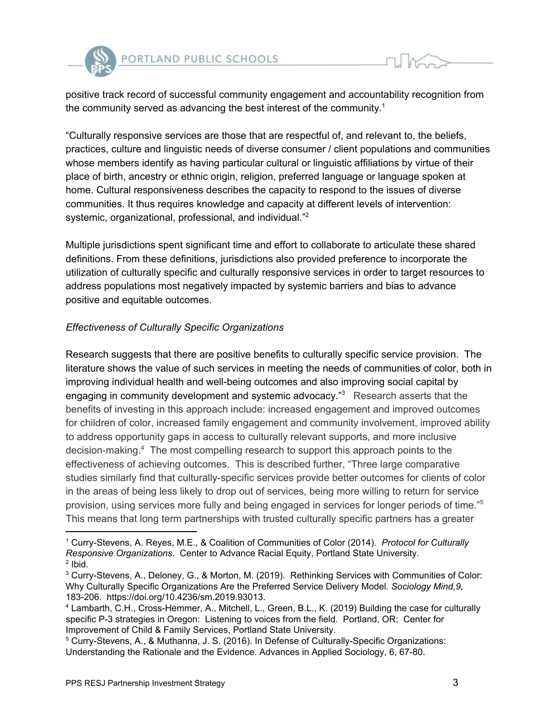

positive track record of successful community engagement and accountability recognition from the community served as advancing the best interest of the community.<sup>1</sup>

"Culturally responsive services are those that are respectful of, and relevant to, the beliefs, practices, culture and linguistic needs of diverse consumer / client populations and communities whose members identify as having particular cultural or linguistic affiliations by virtue of their place of birth, ancestry or ethnic origin, religion, preferred language or language spoken at home. Cultural responsiveness describes the capacity to respond to the issues of diverse communities. It thus requires knowledge and capacity at different levels of intervention: systemic, organizational, professional, and individual."<sup>2</sup>

Multiple jurisdictions spent significant time and effort to collaborate to articulate these shared definitions. From these definitions, jurisdictions also provided preference to incorporate the utilization of culturally specific and culturally responsive services in order to target resources to address populations most negatively impacted by systemic barriers and bias to advance positive and equitable outcomes.

## *Effectiveness of Culturally Specific Organizations*

Research suggests that there are positive benefits to culturally specific service provision. The literature shows the value of such services in meeting the needs of communities of color, both in improving individual health and well-being outcomes and also improving social capital by engaging in community development and systemic advocacy."<sup>3</sup> Research asserts that the benefits of investing in this approach include: increased engagement and improved outcomes for children of color, increased family engagement and community involvement, improved ability to address opportunity gaps in access to culturally relevant supports, and more inclusive decision-making.<sup>4</sup> The most compelling research to support this approach points to the effectiveness of achieving outcomes. This is described further, "Three large comparative studies similarly find that culturally-specific services provide better outcomes for clients of color in the areas of being less likely to drop out of services, being more willing to return for service provision, using services more fully and being engaged in services for longer periods of time." 5 This means that long term partnerships with trusted culturally specific partners has a greater

<sup>1</sup> Curry-Stevens, A. Reyes, M.E., & Coalition of Communities of Color (2014). *Protocol for Culturally Responsive Organizations*. Center to Advance Racial Equity, Portland State University.  $2$  Ibid.

<sup>3</sup> Curry-Stevens, A., Deloney, G., & Morton, M. (2019). Rethinking Services with Communities of Color: Why Culturally Specific Organizations Are the Preferred Service Delivery Model*. Sociology Mind,9,* 183-206. https://doi.org/10.4236/sm.2019.93013.

<sup>4</sup> Lambarth, C.H., Cross-Hemmer, A., Mitchell, L., Green, B.L., K. (2019) Building the case for culturally specific P-3 strategies in Oregon: Listening to voices from the field. Portland, OR: Center for Improvement of Child & Family Services, Portland State University.

<sup>5</sup> Curry-Stevens, A., & Muthanna, J. S. (2016). In Defense of Culturally-Specific Organizations: Understanding the Rationale and the Evidence. Advances in Applied Sociology, 6, 67-80.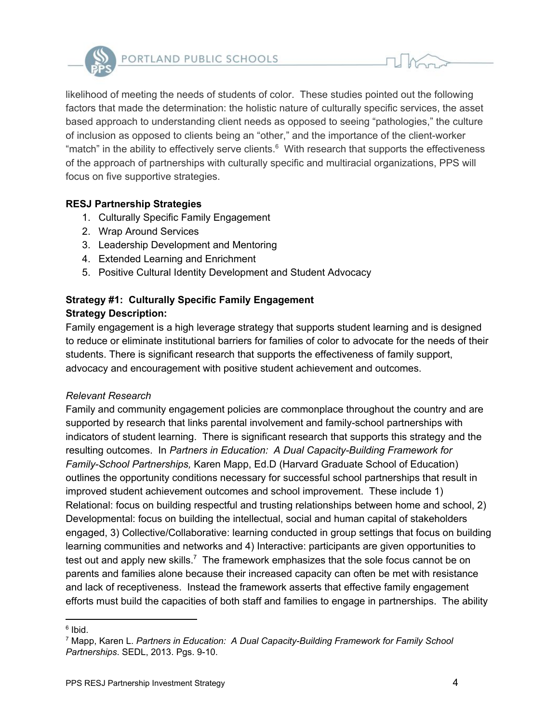

likelihood of meeting the needs of students of color. These studies pointed out the following factors that made the determination: the holistic nature of culturally specific services, the asset based approach to understanding client needs as opposed to seeing "pathologies," the culture of inclusion as opposed to clients being an "other," and the importance of the client-worker

"match" in the ability to effectively serve clients. $6$  With research that supports the effectiveness of the approach of partnerships with culturally specific and multiracial organizations, PPS will focus on five supportive strategies.

# **RESJ Partnership Strategies**

- 1. Culturally Specific Family Engagement
- 2. Wrap Around Services
- 3. Leadership Development and Mentoring
- 4. Extended Learning and Enrichment
- 5. Positive Cultural Identity Development and Student Advocacy

# **Strategy #1: Culturally Specific Family Engagement Strategy Description:**

Family engagement is a high leverage strategy that supports student learning and is designed to reduce or eliminate institutional barriers for families of color to advocate for the needs of their students. There is significant research that supports the effectiveness of family support, advocacy and encouragement with positive student achievement and outcomes.

## *Relevant Research*

Family and community engagement policies are commonplace throughout the country and are supported by research that links parental involvement and family-school partnerships with indicators of student learning. There is significant research that supports this strategy and the resulting outcomes. In *Partners in Education: A Dual Capacity-Building Framework for Family-School Partnerships,* Karen Mapp, Ed.D (Harvard Graduate School of Education) outlines the opportunity conditions necessary for successful school partnerships that result in improved student achievement outcomes and school improvement. These include 1) Relational: focus on building respectful and trusting relationships between home and school, 2) Developmental: focus on building the intellectual, social and human capital of stakeholders engaged, 3) Collective/Collaborative: learning conducted in group settings that focus on building learning communities and networks and 4) Interactive: participants are given opportunities to test out and apply new skills.<sup>7</sup> The framework emphasizes that the sole focus cannot be on parents and families alone because their increased capacity can often be met with resistance and lack of receptiveness. Instead the framework asserts that effective family engagement efforts must build the capacities of both staff and families to engage in partnerships. The ability

<sup>&</sup>lt;sup>6</sup> Ibid.

<sup>7</sup> Mapp, Karen L. *Partners in Education: A Dual Capacity-Building Framework for Family School Partnerships*. SEDL, 2013. Pgs. 9-10.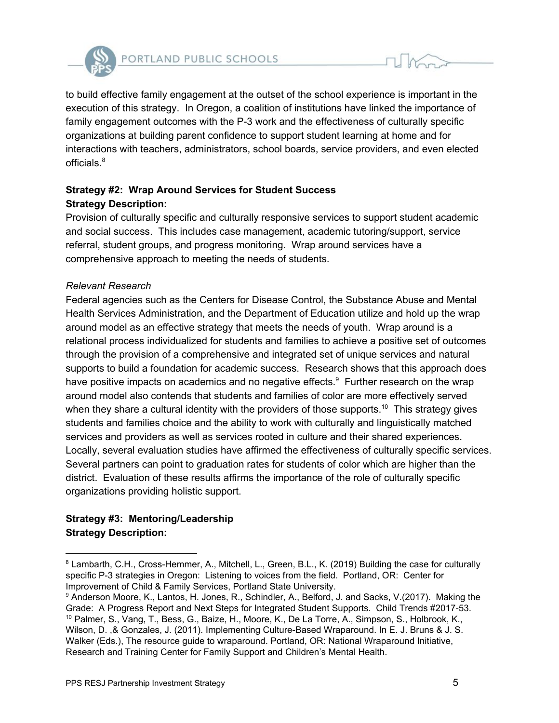

to build effective family engagement at the outset of the school experience is important in the execution of this strategy. In Oregon, a coalition of institutions have linked the importance of family engagement outcomes with the P-3 work and the effectiveness of culturally specific organizations at building parent confidence to support student learning at home and for interactions with teachers, administrators, school boards, service providers, and even elected officials. 8

# **Strategy #2: Wrap Around Services for Student Success Strategy Description:**

Provision of culturally specific and culturally responsive services to support student academic and social success. This includes case management, academic tutoring/support, service referral, student groups, and progress monitoring. Wrap around services have a comprehensive approach to meeting the needs of students.

# *Relevant Research*

Federal agencies such as the Centers for Disease Control, the Substance Abuse and Mental Health Services Administration, and the Department of Education utilize and hold up the wrap around model as an effective strategy that meets the needs of youth. Wrap around is a relational process individualized for students and families to achieve a positive set of outcomes through the provision of a comprehensive and integrated set of unique services and natural supports to build a foundation for academic success. Research shows that this approach does have positive impacts on academics and no negative effects.<sup>9</sup> Further research on the wrap around model also contends that students and families of color are more effectively served when they share a cultural identity with the providers of those supports.<sup>10</sup> This strategy gives students and families choice and the ability to work with culturally and linguistically matched services and providers as well as services rooted in culture and their shared experiences. Locally, several evaluation studies have affirmed the effectiveness of culturally specific services. Several partners can point to graduation rates for students of color which are higher than the district. Evaluation of these results affirms the importance of the role of culturally specific organizations providing holistic support.

# **Strategy #3: Mentoring/Leadership Strategy Description:**

<sup>8</sup> Lambarth, C.H., Cross-Hemmer, A., Mitchell, L., Green, B.L., K. (2019) Building the case for culturally specific P-3 strategies in Oregon: Listening to voices from the field. Portland, OR: Center for Improvement of Child & Family Services, Portland State University.

<sup>9</sup> Anderson Moore, K., Lantos, H. Jones, R., Schindler, A., Belford, J. and Sacks, V.(2017). Making the Grade: A Progress Report and Next Steps for Integrated Student Supports. Child Trends #2017-53. <sup>10</sup> Palmer, S., Vang, T., Bess, G., Baize, H., Moore, K., De La Torre, A., Simpson, S., Holbrook, K., Wilson, D. ,& Gonzales, J. (2011). Implementing Culture-Based Wraparound. In E. J. Bruns & J. S. Walker (Eds.), The resource guide to wraparound. Portland, OR: National Wraparound Initiative, Research and Training Center for Family Support and Children's Mental Health.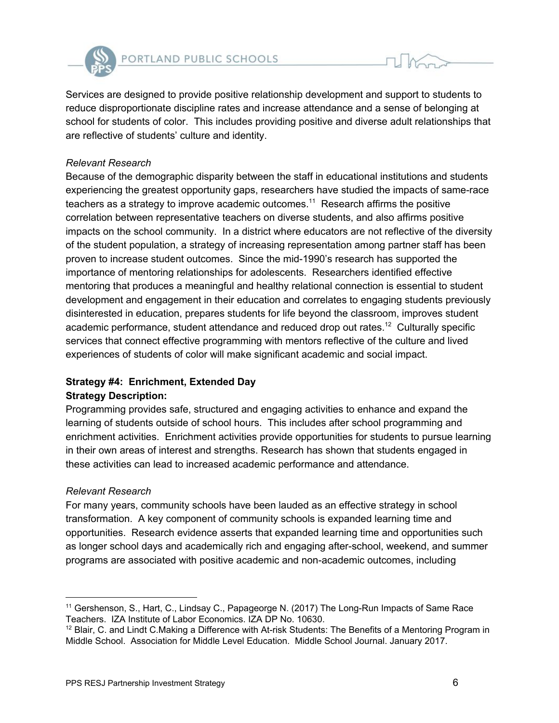

Services are designed to provide positive relationship development and support to students to reduce disproportionate discipline rates and increase attendance and a sense of belonging at school for students of color. This includes providing positive and diverse adult relationships that are reflective of students' culture and identity.

#### *Relevant Research*

Because of the demographic disparity between the staff in educational institutions and students experiencing the greatest opportunity gaps, researchers have studied the impacts of same-race teachers as a strategy to improve academic outcomes.<sup>11</sup> Research affirms the positive correlation between representative teachers on diverse students, and also affirms positive impacts on the school community. In a district where educators are not reflective of the diversity of the student population, a strategy of increasing representation among partner staff has been proven to increase student outcomes. Since the mid-1990's research has supported the importance of mentoring relationships for adolescents. Researchers identified effective mentoring that produces a meaningful and healthy relational connection is essential to student development and engagement in their education and correlates to engaging students previously disinterested in education, prepares students for life beyond the classroom, improves student academic performance, student attendance and reduced drop out rates.<sup>12</sup> Culturally specific services that connect effective programming with mentors reflective of the culture and lived experiences of students of color will make significant academic and social impact.

## **Strategy #4: Enrichment, Extended Day Strategy Description:**

Programming provides safe, structured and engaging activities to enhance and expand the learning of students outside of school hours. This includes after school programming and enrichment activities. Enrichment activities provide opportunities for students to pursue learning in their own areas of interest and strengths. Research has shown that students engaged in these activities can lead to increased academic performance and attendance.

## *Relevant Research*

For many years, community schools have been lauded as an effective strategy in school transformation. A key component of community schools is expanded learning time and opportunities. Research evidence asserts that expanded learning time and opportunities such as longer school days and academically rich and engaging after-school, weekend, and summer programs are associated with positive academic and non-academic outcomes, including

<sup>11</sup> Gershenson, S., Hart, C., Lindsay C., Papageorge N. (2017) The Long-Run Impacts of Same Race Teachers. IZA Institute of Labor Economics. IZA DP No. 10630.

 $12$  Blair, C. and Lindt C.Making a Difference with At-risk Students: The Benefits of a Mentoring Program in Middle School. Association for Middle Level Education. Middle School Journal. January 2017.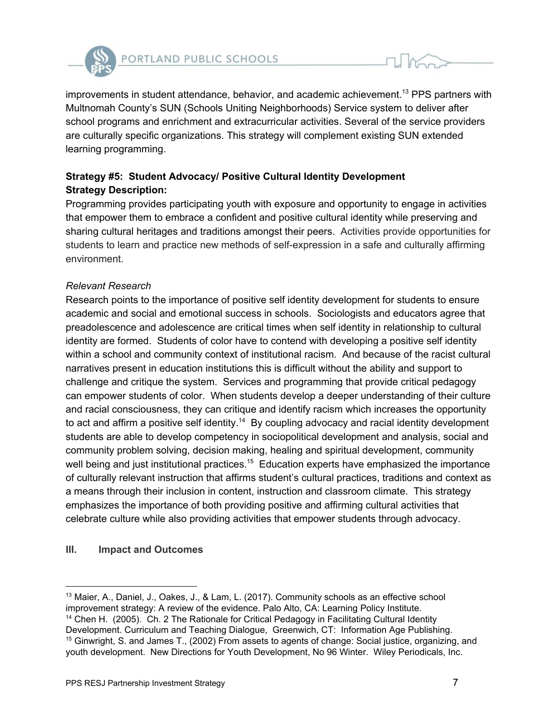

improvements in student attendance, behavior, and academic achievement.<sup>13</sup> PPS partners with Multnomah County's SUN (Schools Uniting Neighborhoods) Service system to deliver after school programs and enrichment and extracurricular activities. Several of the service providers are culturally specific organizations. This strategy will complement existing SUN extended learning programming.

# **Strategy #5: Student Advocacy/ Positive Cultural Identity Development Strategy Description:**

Programming provides participating youth with exposure and opportunity to engage in activities that empower them to embrace a confident and positive cultural identity while preserving and sharing cultural heritages and traditions amongst their peers. Activities provide opportunities for students to learn and practice new methods of self-expression in a safe and culturally affirming environment.

## *Relevant Research*

Research points to the importance of positive self identity development for students to ensure academic and social and emotional success in schools. Sociologists and educators agree that preadolescence and adolescence are critical times when self identity in relationship to cultural identity are formed. Students of color have to contend with developing a positive self identity within a school and community context of institutional racism. And because of the racist cultural narratives present in education institutions this is difficult without the ability and support to challenge and critique the system. Services and programming that provide critical pedagogy can empower students of color. When students develop a deeper understanding of their culture and racial consciousness, they can critique and identify racism which increases the opportunity to act and affirm a positive self identity.<sup>14</sup> By coupling advocacy and racial identity development students are able to develop competency in sociopolitical development and analysis, social and community problem solving, decision making, healing and spiritual development, community well being and just institutional practices.<sup>15</sup> Education experts have emphasized the importance of culturally relevant instruction that affirms student's cultural practices, traditions and context as a means through their inclusion in content, instruction and classroom climate. This strategy emphasizes the importance of both providing positive and affirming cultural activities that celebrate culture while also providing activities that empower students through advocacy.

## **III. Impact and Outcomes**

<sup>&</sup>lt;sup>13</sup> Maier, A., Daniel, J., Oakes, J., & Lam, L. (2017). Community schools as an effective school improvement strategy: A review of the evidence. Palo Alto, CA: Learning Policy Institute. <sup>14</sup> Chen H. (2005). Ch. 2 The Rationale for Critical Pedagogy in Facilitating Cultural Identity Development. Curriculum and Teaching Dialogue, Greenwich, CT: Information Age Publishing. <sup>15</sup> Ginwright, S. and James T., (2002) From assets to agents of change: Social justice, organizing, and youth development. New Directions for Youth Development, No 96 Winter. Wiley Periodicals, Inc.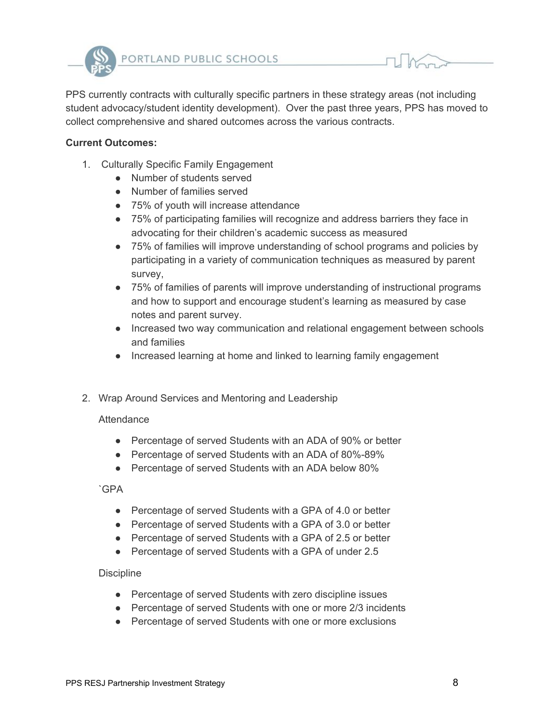

PPS currently contracts with culturally specific partners in these strategy areas (not including student advocacy/student identity development). Over the past three years, PPS has moved to collect comprehensive and shared outcomes across the various contracts.

#### **Current Outcomes:**

- 1. Culturally Specific Family Engagement
	- Number of students served
	- Number of families served
	- 75% of youth will increase attendance
	- 75% of participating families will recognize and address barriers they face in advocating for their children's academic success as measured
	- 75% of families will improve understanding of school programs and policies by participating in a variety of communication techniques as measured by parent survey,
	- 75% of families of parents will improve understanding of instructional programs and how to support and encourage student's learning as measured by case notes and parent survey.
	- Increased two way communication and relational engagement between schools and families
	- Increased learning at home and linked to learning family engagement
- 2. Wrap Around Services and Mentoring and Leadership

#### **Attendance**

- Percentage of served Students with an ADA of 90% or better
- Percentage of served Students with an ADA of 80%-89%
- Percentage of served Students with an ADA below 80%

`GPA

- Percentage of served Students with a GPA of 4.0 or better
- Percentage of served Students with a GPA of 3.0 or better
- Percentage of served Students with a GPA of 2.5 or better
- Percentage of served Students with a GPA of under 2.5

#### **Discipline**

- Percentage of served Students with zero discipline issues
- Percentage of served Students with one or more 2/3 incidents
- Percentage of served Students with one or more exclusions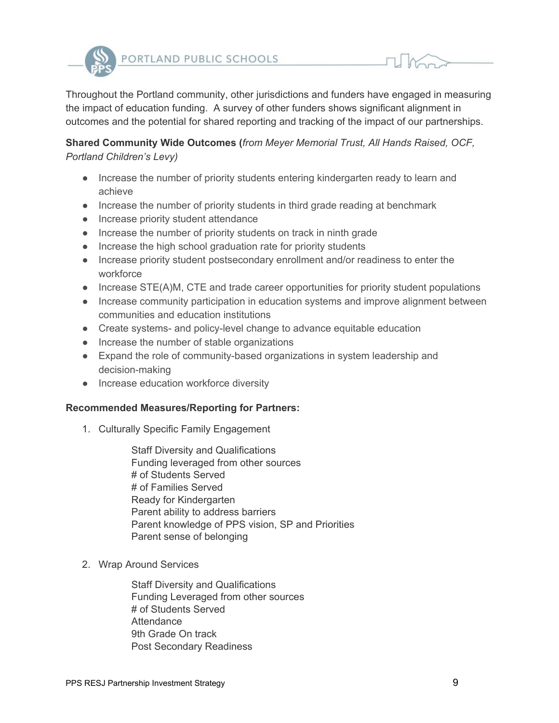

Throughout the Portland community, other jurisdictions and funders have engaged in measuring the impact of education funding. A survey of other funders shows significant alignment in outcomes and the potential for shared reporting and tracking of the impact of our partnerships.

**Shared Community Wide Outcomes (***from Meyer Memorial Trust, All Hands Raised, OCF, Portland Children's Levy)*

- Increase the number of priority students entering kindergarten ready to learn and achieve
- Increase the number of priority students in third grade reading at benchmark
- Increase priority student attendance
- Increase the number of priority students on track in ninth grade
- Increase the high school graduation rate for priority students
- Increase priority student postsecondary enrollment and/or readiness to enter the workforce
- Increase STE(A)M, CTE and trade career opportunities for priority student populations
- Increase community participation in education systems and improve alignment between communities and education institutions
- Create systems- and policy-level change to advance equitable education
- Increase the number of stable organizations
- Expand the role of community-based organizations in system leadership and decision-making
- Increase education workforce diversity

## **Recommended Measures/Reporting for Partners:**

1. Culturally Specific Family Engagement

Staff Diversity and Qualifications Funding leveraged from other sources # of Students Served # of Families Served Ready for Kindergarten Parent ability to address barriers Parent knowledge of PPS vision, SP and Priorities Parent sense of belonging

2. Wrap Around Services

Staff Diversity and Qualifications Funding Leveraged from other sources # of Students Served **Attendance** 9th Grade On track Post Secondary Readiness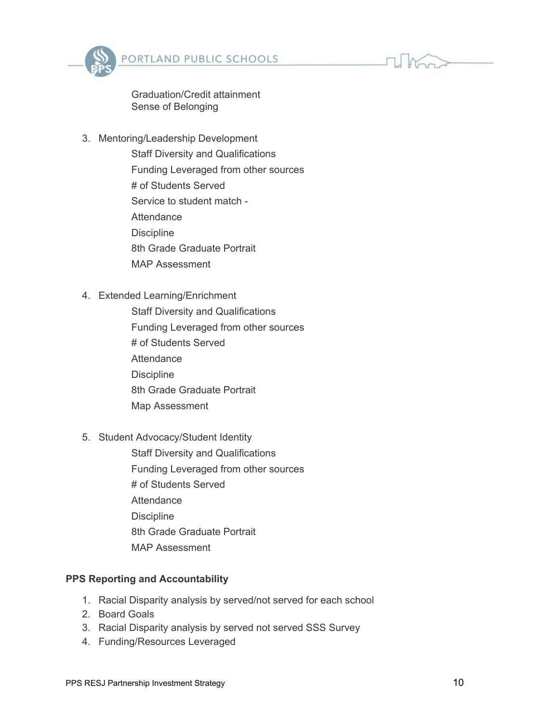

Graduation/Credit attainment Sense of Belonging

- 3. Mentoring/Leadership Development Staff Diversity and Qualifications Funding Leveraged from other sources # of Students Served Service to student match - **Attendance** Discipline 8th Grade Graduate Portrait
	- MAP Assessment
- 4. Extended Learning/Enrichment
	- Staff Diversity and Qualifications Funding Leveraged from other sources # of Students Served **Attendance Discipline** 8th Grade Graduate Portrait Map Assessment
- 5. Student Advocacy/Student Identity
	- Staff Diversity and Qualifications Funding Leveraged from other sources # of Students Served **Attendance Discipline** 8th Grade Graduate Portrait MAP Assessment

#### **PPS Reporting and Accountability**

- 1. Racial Disparity analysis by served/not served for each school
- 2. Board Goals
- 3. Racial Disparity analysis by served not served SSS Survey
- 4. Funding/Resources Leveraged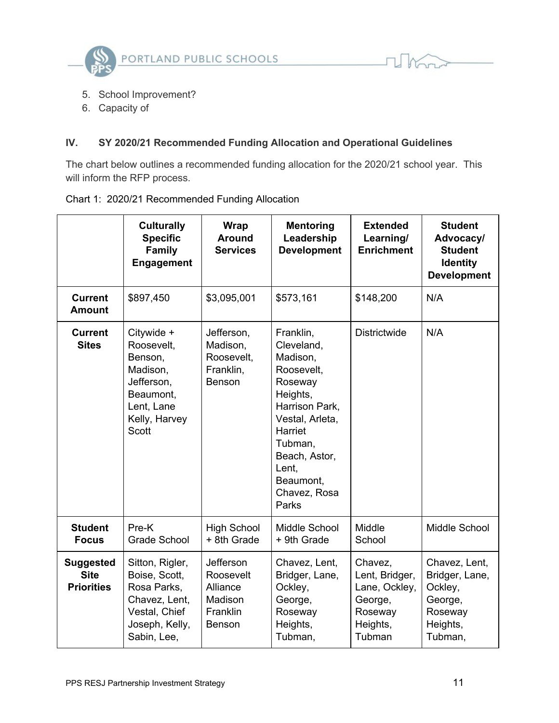

- 5. School Improvement?
- 6. Capacity of

#### **IV. SY 2020/21 Recommended Funding Allocation and Operational Guidelines**

The chart below outlines a recommended funding allocation for the 2020/21 school year. This will inform the RFP process.

|  |  | Chart 1: 2020/21 Recommended Funding Allocation |  |  |
|--|--|-------------------------------------------------|--|--|
|--|--|-------------------------------------------------|--|--|

|                                                      | <b>Culturally</b><br><b>Specific</b><br><b>Family</b><br><b>Engagement</b>                                                | <b>Wrap</b><br><b>Around</b><br><b>Services</b>                     | <b>Mentoring</b><br>Leadership<br><b>Development</b>                                                                                                                                                | <b>Extended</b><br>Learning/<br><b>Enrichment</b>                                      | <b>Student</b><br>Advocacy/<br><b>Student</b><br><b>Identity</b><br><b>Development</b>  |
|------------------------------------------------------|---------------------------------------------------------------------------------------------------------------------------|---------------------------------------------------------------------|-----------------------------------------------------------------------------------------------------------------------------------------------------------------------------------------------------|----------------------------------------------------------------------------------------|-----------------------------------------------------------------------------------------|
| <b>Current</b><br><b>Amount</b>                      | \$897,450                                                                                                                 | \$3,095,001                                                         | \$573,161                                                                                                                                                                                           | \$148,200                                                                              | N/A                                                                                     |
| <b>Current</b><br><b>Sites</b>                       | Citywide +<br>Roosevelt,<br>Benson,<br>Madison,<br>Jefferson,<br>Beaumont,<br>Lent, Lane<br>Kelly, Harvey<br><b>Scott</b> | Jefferson,<br>Madison,<br>Roosevelt,<br>Franklin,<br>Benson         | Franklin,<br>Cleveland,<br>Madison,<br>Roosevelt,<br>Roseway<br>Heights,<br>Harrison Park,<br>Vestal, Arleta,<br>Harriet<br>Tubman,<br>Beach, Astor,<br>Lent,<br>Beaumont,<br>Chavez, Rosa<br>Parks | <b>Districtwide</b>                                                                    | N/A                                                                                     |
| <b>Student</b><br><b>Focus</b>                       | Pre-K<br><b>Grade School</b>                                                                                              | <b>High School</b><br>+ 8th Grade                                   | Middle School<br>+ 9th Grade                                                                                                                                                                        | Middle<br>School                                                                       | Middle School                                                                           |
| <b>Suggested</b><br><b>Site</b><br><b>Priorities</b> | Sitton, Rigler,<br>Boise, Scott,<br>Rosa Parks,<br>Chavez, Lent,<br>Vestal, Chief<br>Joseph, Kelly,<br>Sabin, Lee,        | Jefferson<br>Roosevelt<br>Alliance<br>Madison<br>Franklin<br>Benson | Chavez, Lent,<br>Bridger, Lane,<br>Ockley,<br>George,<br>Roseway<br>Heights,<br>Tubman,                                                                                                             | Chavez,<br>Lent, Bridger,<br>Lane, Ockley,<br>George,<br>Roseway<br>Heights,<br>Tubman | Chavez, Lent,<br>Bridger, Lane,<br>Ockley,<br>George,<br>Roseway<br>Heights,<br>Tubman, |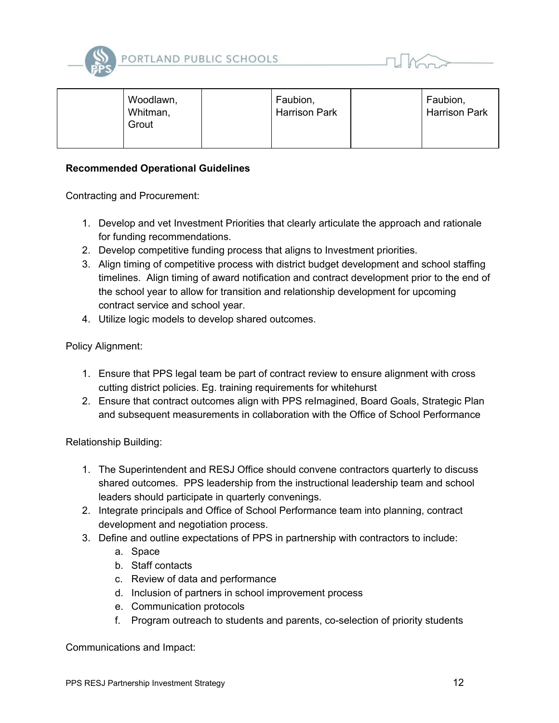



| Woodlawn,<br>Whitman,<br>Grout | Faubion,<br><b>Harrison Park</b> | Faubion,<br><b>Harrison Park</b> |
|--------------------------------|----------------------------------|----------------------------------|
|--------------------------------|----------------------------------|----------------------------------|

#### **Recommended Operational Guidelines**

Contracting and Procurement:

- 1. Develop and vet Investment Priorities that clearly articulate the approach and rationale for funding recommendations.
- 2. Develop competitive funding process that aligns to Investment priorities.
- 3. Align timing of competitive process with district budget development and school staffing timelines. Align timing of award notification and contract development prior to the end of the school year to allow for transition and relationship development for upcoming contract service and school year.
- 4. Utilize logic models to develop shared outcomes.

Policy Alignment:

- 1. Ensure that PPS legal team be part of contract review to ensure alignment with cross cutting district policies. Eg. training requirements for whitehurst
- 2. Ensure that contract outcomes align with PPS reImagined, Board Goals, Strategic Plan and subsequent measurements in collaboration with the Office of School Performance

Relationship Building:

- 1. The Superintendent and RESJ Office should convene contractors quarterly to discuss shared outcomes. PPS leadership from the instructional leadership team and school leaders should participate in quarterly convenings.
- 2. Integrate principals and Office of School Performance team into planning, contract development and negotiation process.
- 3. Define and outline expectations of PPS in partnership with contractors to include:
	- a. Space
	- b. Staff contacts
	- c. Review of data and performance
	- d. Inclusion of partners in school improvement process
	- e. Communication protocols
	- f. Program outreach to students and parents, co-selection of priority students

Communications and Impact: